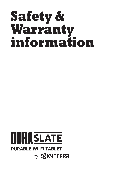# **Safety & Warranty information**

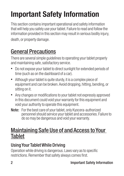## **Important Safety Information**

This section contains important operational and safety information that will help you safely use your tablet. Failure to read and follow the information provided in this section may result in serious bodily injury, death, or property damage.

## General Precautions

There are several simple guidelines to operating your tablet properly and maintaining safe, satisfactory service.

- Do not expose your tablet to direct sunlight for extended periods of time (such as on the dashboard of a car).
- Although your tablet is quite sturdy, it is a complex piece of equipment and can be broken. Avoid dropping, hitting, bending, or sitting on it.
- Any changes or modifications to your tablet not expressly approved in this document could void your warranty for this equipment and void your authority to operate this equipment.
- Note: For the best care of your tablet, only Kyocera-authorized personnel should service your tablet and accessories. Failure to do so may be dangerous and void your warranty.

### Maintaining Safe Use of and Access to Your Tablet

#### Using Your Tablet While Driving

Operation while driving is dangerous. Laws vary as to specific restrictions. Remember that safety always comes first.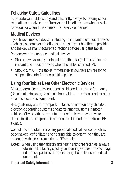#### Following Safety Guidelines

To operate your tablet safely and efficiently, always follow any special regulations in a given area. Turn your tablet off in areas where use is forbidden or when it may cause interference or danger.

#### Medical Devices

If you have a medical device, including an implantable medical device such as a pacemaker or defibrillator, consult your healthcare provider and the device manufacturer's directions before using this tablet.

Persons with implantable medical devices:

- Should always keep your tablet more than six (6) inches from the implantable medical device when the tablet is turned ON.
- Should turn OFF the tablet immediately if you have any reason to suspect that interference is taking place.

#### Using Your Tablet Near Other Electronic Devices

Most modern electronic equipment is shielded from radio frequency (RF) signals. However, RF signals from tablets may affect inadequately shielded electronic equipment.

RF signals may affect improperly installed or inadequately shielded electronic operating systems or entertainment systems in motor vehicles. Check with the manufacturer or their representative to determine if the equipment is adequately shielded from external RF signals.

Consult the manufacturer of any personal medical devices, such as pacemakers, defibrillator, and hearing aids, to determine if they are adequately shielded from external RF signals.

Note: When using the tablet in and near healthcare facilities, always determine the facility's policy concerning wireless device usage and request permission before using the tablet near medical equipment.

#### **Important Safety Information** 3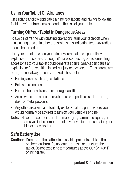#### Using Your Tablet On Airplanes

On airplanes, follow applicable airline regulations and always follow the flight crew's instructions concerning the use of your tablet.

#### Turning Off Your Tablet in Dangerous Areas

To avoid interfering with blasting operations, turn your tablet off when in a blasting area or in other areas with signs indicating two-way radios should be turned off.

Turn your tablet off when you're in any area that has a potentially explosive atmosphere. Although it's rare, connecting or disconnecting accessories to your tablet could generate sparks. Sparks can cause an explosion or fire, resulting in bodily injury or even death. These areas are often, but not always, clearly marked. They include:

- Fueling areas such as gas stations
- Below deck on boats
- Fuel or chemical transfer or storage facilities
- Areas where the air contains chemicals or particles such as grain, dust, or metal powders
- Any other area with a potentially explosive atmosphere where you would normally be advised to turn off your vehicle's engine
- Note: Never transport or store flammable gas, flammable liquids, or explosives in the compartment of your vehicle that contains your tablet or accessories.

#### Safe Battery Use

Caution: Damage to the battery in this tablet presents a risk of fire or chemical burn. Do not crush, smash, or puncture the tablet. Do not expose to temperatures above 60° C/140° F or incinerate.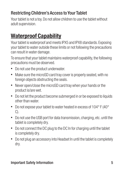#### Restricting Children's Access to Your Tablet

Your tablet is not a toy. Do not allow children to use the tablet without adult supervision.

### **Waterproof Capability**

Your tablet is waterproof and meets IPX5 and IPX8 standards. Exposing your tablet to water outside these limits or not following the precautions can result in water damage.

To ensure that your tablet maintains waterproof capability, the following precautions must be observed.

- Do not use the product underwater.
- Make sure the microSD card tray cover is properly seated, with no foreign objects obstructing the seals.
- Never open/close the microSD card tray when your hands or the product is/are wet.
- Do not let the product become submerged in or be exposed to liquids other than water.
- Do not expose your tablet to water heated in excess of 104° F (40° C).
- Do not use the USB port for data transmission, charging, etc. until the tablet is completely dry.
- Do not connect the DC plug to the DC In for charging until the tablet is completely dry.
- Do not plug an accessory into Headset In until the tablet is completely dry.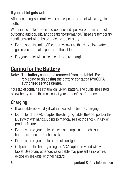#### If your tablet gets wet:

After becoming wet, drain water and wipe the product with a dry, clean cloth.

Water in the tablet's open microphone and speaker ports may affect outbound audio quality and speaker performance. These are temporary conditions and will subside once the tablet is dry.

- Do not open the microSD card tray cover as this may allow water to get inside the sealed portion of the tablet.
- Dry your tablet with a clean cloth before charging.

## **Caring for the Battery**

#### Note: The battery cannot be removed from the tablet. For replacing or disposing the battery, contact a KYOCERA authorized service center.

Your tablet contains a lithium ion (Li-Ion) battery. The quidelines listed below help you get the most out of your battery's performance.

#### Charging

- If your tablet is wet, dry it with a clean cloth before charging.
- Do not touch the AC adapter, the charging cable, the USB port, or the DC In with wet hands. Doing so may cause electric shock, injury, or product failure.
- Do not charge your tablet in a wet or damp place, such as in a bathroom or near a kitchen sink.
- Do not charge your tablet in direct sun light.
- Only charge the battery using the AC Adapter provided with your tablet. Use of any other device or cable may present a risk of fire, explosion, leakage, or other hazard.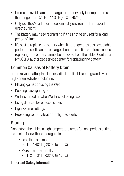- In order to avoid damage, charge the battery only in temperatures that range from 37° F to 113° F (3° C to 45° C).
- Only use the AC adapter indoors in a dry environment and avoid direct sunlight.
- The battery may need recharging if it has not been used for a long period of time.
- It's best to replace the battery when it no longer provides acceptable performance. It can be recharged hundreds of times before it needs replacing. The battery cannot be removed from the tablet. Contact a KYOCERA authorized service center for replacing the battery.

#### Common Causes of Battery Drain

To make your battery last longer, adjust applicable settings and avoid high-drain activities including:

- Playing games or using the Web
- Keeping backlighting on
- Wi-Fi is turned on when Wi-Fi is not being used
- Using data cables or accessories
- High volume settings
- Repeating sound, vibration, or lighted alerts

#### Storing

Don't store the tablet in high temperature areas for long periods of time. It's best to follow these storage rules:

- **.** Less than one month: -4° F to 140° F (-20° C to 60° C)
- More than one month: -4° F to 113° F (-20° C to 45° C)

#### **Important Safety Information** 7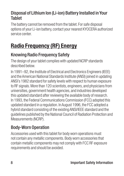#### Disposal of Lithium Ion (Li-ion) Battery Installed in Your Tablet

The battery cannot be removed from the tablet. For safe disposal options of your Li-ion battery, contact your nearest KYOCERA authorized service center.

## **Radio Frequency (RF) Energy**

#### Knowing Radio Frequency Safety

The design of your tablet complies with updated NCRP standards described below.

In 1991–92, the Institute of Electrical and Electronics Engineers (IEEE) and the American National Standards Institute (ANSI) joined in updating ANSI's 1982 standard for safety levels with respect to human exposure to RF signals. More than 120 scientists, engineers, and physicians from universities, government health agencies, and industries developed this updated standard after reviewing the available body of research. In 1993, the Federal Communications Commission (FCC) adopted this updated standard in a regulation. In August 1996, the FCC adopted a hybrid standard consisting of the existing ANSI/IEEE standard and the guidelines published by the National Council of Radiation Protection and Measurements (NCRP).

#### Body-Worn Operation

Accessories used with this tablet for body worn operations must not contain any metallic components. Body worn accessories that contain metallic components may not comply with FCC RF exposure requirements and should be avoided.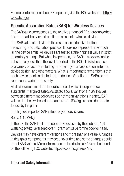For more information about RF exposure, visit the FCC website at http:// www.fcc.gov.

#### Specific Absorption Rates (SAR) for Wireless Devices

The SAR value corresponds to the relative amount of RF energy absorbed into the head, body, or extremities of a user of a wireless device.

The SAR value of a device is the result of an extensive testing, measuring, and calculation process. It does not represent how much RF the device emits. All devices are tested at their highest value in strict laboratory settings. But when in operation, the SAR of a device can be substantially less than the level reported to the FCC. This is because of a variety of factors including its proximity to a base station antenna, device design, and other factors. What is important to remember is that each device meets strict federal guidelines. Variations in SARs do not represent a variation in safety.

All devices must meet the federal standard, which incorporates a substantial margin of safety. As stated above, variations in SAR values between different model devices do not mean variations in safety. SAR values at or below the federal standard of 1.6 W/kg are considered safe for use by the public.

The highest reported SAR values of your device are:

Body: 1.19 W/kg

In the US, the SAR limit for mobile devices used by the public is 1.6 watts/kg (W/kg) averaged over 1 gram of tissue for the body or head.

Devices may have different versions and more than one value. Changes in design or components may occur over time and some changes could affect SAR values. More information on the device's SAR can be found on the following FCC website: http://www.fcc.gov/oet/ea/.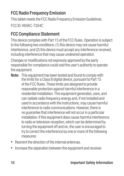#### **FCC Radio Frequency Emission**

This tablet meets the FCC Radio Frequency Emission Guidelines. FCC ID: V65KC-T304C

#### FCC Compliance Statement

This device complies with Part 15 of the FCC Rules. Operation is subject to the following two conditions: (1) this device may not cause harmful interference, and (2) this device must accept any interference received, including interference that may cause undesired operation.

Changes or modifications not expressly approved by the party responsible for compliance could void the user's authority to operate the equipment.

- Note: This equipment has been tested and found to comply with the limits for a Class B digital device, pursuant to Part 15 of the FCC Rules. These limits are designed to provide reasonable protection against harmful interference in a residential installation. This equipment generates, uses, and can radiate radio frequency energy and, if not installed and used in accordance with the instructions, may cause harmful interference to radio communications. However, there is no guarantee that interference will not occur in a particular installation. If this equipment does cause harmful interference to radio or television reception, which can be determined by turning the equipment off and on, the user is encouraged to try to correct the interference by one or more of the following measures:
- Reorient the direction of the internal antennas.
- Increase the separation between the equipment and receiver.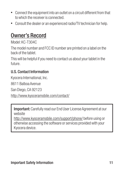- Connect the equipment into an outlet on a circuit different from that to which the receiver is connected.
- Consult the dealer or an experienced radio/TV technician for help.

### Owner's Record

Model: KC-T304C

The model number and FCC ID number are printed on a label on the back of the tablet.

This will be helpful if you need to contact us about your tablet in the future.

#### U.S. Contact Information

Kyocera International, Inc.

8611 Balboa Avenue

San Diego, CA 92123

http://www.kyoceramobile.com/contact/

**Important:** Carefully read our End User License Agreement at our website

http://www.kyoceramobile.com/support/phone/ before using or otherwise accessing the software or services provided with your Kyocera device.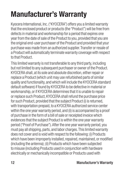## **Manufacturer's Warranty**

Kyocera International, Inc. ("KYOCERA") offers you a limited warranty that the enclosed product or products (the "Product") will be free from defects in material and workmanship for a period that expires one year from the date of sale of the Product to you, provided that you are the original end-user purchaser of the Product and provided that your purchase was made from an authorized supplier. Transfer or resale of a Product will automatically terminate warranty coverage with respect to that Product.

This limited warranty is not transferable to any third party, including but not limited to any subsequent purchaser or owner of the Product. KYOCERA shall, at its sole and absolute discretion, either repair or replace a Product (which unit may use refurbished parts of similar quality and functionality, and which will include the KYOCERA standard default software) if found by KYOCERA to be defective in material or workmanship, or if KYOCERA determines that it is unable to repair or replace such Product, KYOCERA shall refund the purchase price for such Product, provided that the subject Product (i) is returned, with transportation prepaid, to a KYOCERA authorized service center within the one year warranty period, and (ii) is accompanied by a proof of purchase in the form of a bill of sale or receipted invoice which evidences that the subject Product is within the one year warranty period ("Proof of Purchase"). After the one year warranty period, you must pay all shipping, parts, and labor charges. This limited warranty does not cover and is void with respect to the following: (i) Products which have been improperly installed, repaired, maintained, or modified (including the antenna); (ii) Products which have been subjected to misuse (including Products used in conjunction with hardware electrically or mechanically incompatible or Products used with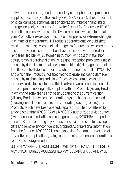software, accessories, goods, or ancillary or peripheral equipment not supplied or expressly authorized by KYOCERA for use), abuse, accident, physical damage, abnormal use or operation, improper handling or storage, neglect, exposure to fire, water (except for Product certified for protection against water; see the Kyocera product website for details on your Product), or excessive moisture or dampness, or extreme changes in climate or temperature; (iii) Products operated outside published maximum ratings; (iv) cosmetic damage; (v) Products on which warranty stickers or Product serial numbers have been removed, altered, or rendered illegible; (vi) customer instruction; (vii) cost of installation, setup, removal or reinstallation; (viii) signal reception problems (unless caused by defect in material or workmanship); (ix) damage the result of fire, flood, acts of God, or other acts which are not the fault of KYOCERA and which the Product is not specified to tolerate, including damage caused by mishandling and blown fuses; (x) consumables (such as memory cards, fuses, etc.); (xi) third party software or applications, data and equipment not originally supplied with the Product; (xii) any Product in which the software has not been updated to the current version; (xiii) any Product in which the operating system has been unlocked (allowing installation of a third party operating system); or (xiv) any Products which have been opened, repaired, modified, or altered by anyone other than KYOCERA or a KYOCERA authorized service center, (xv) Product customization and configuration by KYOCERA as a part of service. Before returning any Product for service, be sure to back up data and remove any confidential, proprietary, or personal information from the Product. KYOCERA is not responsible for damage to or loss of any software, applications, data, setting, customization, configuration or removable storage media.

USE ONLY APPROVED ACCESSORIES WITH KYOCERA TABLETS. USE OF ANY UNAUTHORIZED ACCESSORIES MAY BE DANGEROUS AND WILL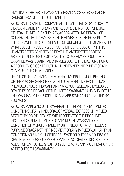INVALIDATE THE TABLET WARRANTY IF SAID ACCESSORIES CAUSE DAMAGE OR A DEFECT TO THE TABLET.

KYOCERA, ITS PARENT COMPANY AND ITS AFFILIATES SPECIFICALLY DISCLAIM LIABILITY FOR ANY AND ALL DIRECT, INDIRECT, SPECIAL, GENERAL, PUNITIVE, EXEMPLARY, AGGRAVATED, INCIDENTAL, OR CONSEQUENTIAL DAMAGES, EVEN IF ADVISED OF THE POSSIBILITY THEREOF, WHETHER FORESEEABLE OR UNFORESEEABLE OF ANY KIND WHATSOEVER, INCLUDING BUT NOT LIMITED TO LOSS OF PROFITS, UNANTICIPATED BENEFITS OR REVENUE, ANTICIPATED PROFITS ARISING OUT OF USE OF OR INABILITY TO USE ANY PRODUCT (FOR EXAMPLE, WASTED AIRTIME CHARGES DUE TO THE MALFUNCTION OF A PRODUCT), OR CONTRIBUTION OR INDEMNITY IN RESPECT OF ANY CLAIM RELATED TO A PRODUCT.

REPAIR OR REPLACEMENT OF A DEFECTIVE PRODUCT OR REFUND OF THE PURCHASE PRICE RELATING TO A DEFECTIVE PRODUCT, AS PROVIDED UNDER THIS WARRANTY ARE YOUR SOLE AND EXCLUSIVE REMEDIES FOR BREACH OF THE LIMITED WARRANTY, AND SUBJECT TO THIS WARRANTY, THE PRODUCTS ARE APPROVED AND ACCEPTED BY YOU "AS IS"

KYOCERA MAKES NO OTHER WARRANTIES, REPRESENTATIONS OR CONDITIONS OF ANY KIND, ORAL OR VERBAL, EXPRESS OR IMPLIED, STATUTORY OR OTHERWISE, WITH RESPECT TO THE PRODUCTS. INCLUDING BUT NOT LIMITED TO ANY IMPLIED WARRANTY OR CONDITION OF MERCHANTABILITY OR FITNESS FOR A PARTICULAR PURPOSE OR AGAINST INFRINGEMENT OR ANY IMPLIED WARRANTY OR CONDITION ARISING OUT OF TRADE USAGE OR OUT OF A COURSE OF DEALING OR COURSE OF PERFORMANCE, NO DEALER, DISTRIBUTOR, AGENT, OR EMPLOYEE IS AUTHORIZED TO MAKE ANY MODIFICATION OR ADDITION TO THIS WARRANTY.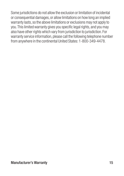Some jurisdictions do not allow the exclusion or limitation of incidental or consequential damages, or allow limitations on how long an implied warranty lasts, so the above limitations or exclusions may not apply to you. This limited warranty gives you specific legal rights, and you may also have other rights which vary from jurisdiction to jurisdiction. For warranty service information, please call the following telephone number from anywhere in the continental United States: 1-800-349-4478.